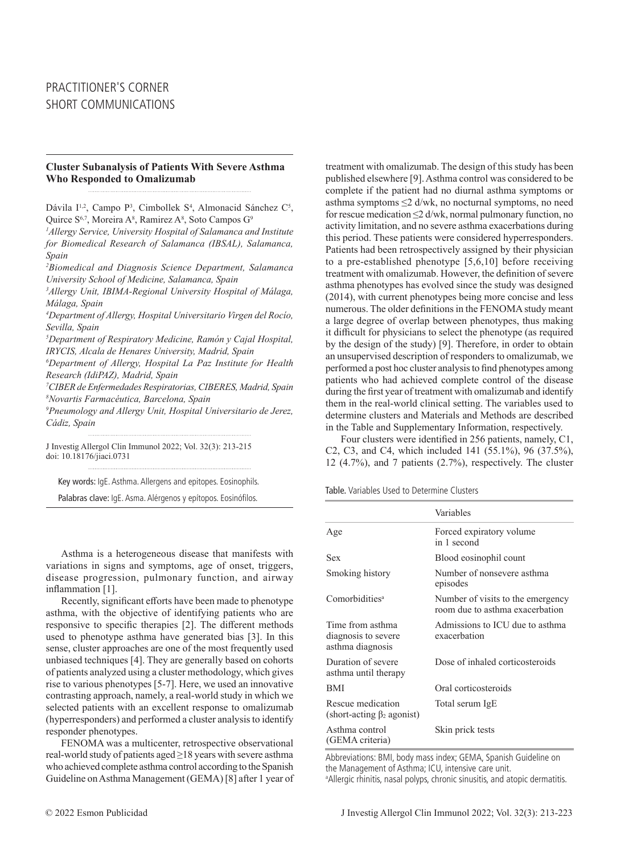# **Cluster Subanalysis of Patients With Severe Asthma Who Responded to Omalizumab**

Dávila I<sup>1,2</sup>, Campo P<sup>3</sup>, Cimbollek S<sup>4</sup>, Almonacid Sánchez C<sup>5</sup>, Quirce S<sup>6,7</sup>, Moreira A<sup>8</sup>, Ramirez A<sup>8</sup>, Soto Campos G<sup>9</sup>

*1 Allergy Service, University Hospital of Salamanca and Institute for Biomedical Research of Salamanca (IBSAL), Salamanca, Spain* 

*2 Biomedical and Diagnosis Science Department, Salamanca University School of Medicine, Salamanca, Spain* 

*3 Allergy Unit, IBIMA-Regional University Hospital of Málaga, Málaga, Spain*

*4 Department of Allergy, Hospital Universitario Virgen del Rocío, Sevilla, Spain* 

*5 Department of Respiratory Medicine, Ramón y Cajal Hospital, IRYCIS, Alcala de Henares University, Madrid, Spain* 

*6 Department of Allergy, Hospital La Paz Institute for Health Research (IdiPAZ), Madrid, Spain*

*7 CIBER de Enfermedades Respiratorias, CIBERES, Madrid, Spain 8 Novartis Farmacéutica, Barcelona, Spain* 

*9 Pneumology and Allergy Unit, Hospital Universitario de Jerez, Cádiz, Spain* 

J Investig Allergol Clin Immunol 2022; Vol. 32(3): 213-215 doi: 10.18176/jiaci.0731

Key words: IgE. Asthma. Allergens and epitopes. Eosinophils.

Palabras clave: IgE. Asma. Alérgenos y epítopos. Eosinófilos.

Asthma is a heterogeneous disease that manifests with variations in signs and symptoms, age of onset, triggers, disease progression, pulmonary function, and airway inflammation [1].

Recently, significant efforts have been made to phenotype asthma, with the objective of identifying patients who are responsive to specific therapies [2]. The different methods used to phenotype asthma have generated bias [3]. In this sense, cluster approaches are one of the most frequently used unbiased techniques [4]. They are generally based on cohorts of patients analyzed using a cluster methodology, which gives rise to various phenotypes [5-7]. Here, we used an innovative contrasting approach, namely, a real-world study in which we selected patients with an excellent response to omalizumab (hyperresponders) and performed a cluster analysis to identify responder phenotypes.

FENOMA was a multicenter, retrospective observational real-world study of patients aged ≥18 years with severe asthma who achieved complete asthma control according to the Spanish Guideline on Asthma Management (GEMA) [8] after 1 year of treatment with omalizumab. The design of this study has been published elsewhere [9]. Asthma control was considered to be complete if the patient had no diurnal asthma symptoms or asthma symptoms ≤2 d/wk, no nocturnal symptoms, no need for rescue medication ≤2 d/wk, normal pulmonary function, no activity limitation, and no severe asthma exacerbations during this period. These patients were considered hyperresponders. Patients had been retrospectively assigned by their physician to a pre-established phenotype [5,6,10] before receiving treatment with omalizumab. However, the definition of severe asthma phenotypes has evolved since the study was designed (2014), with current phenotypes being more concise and less numerous. The older definitions in the FENOMA study meant a large degree of overlap between phenotypes, thus making it difficult for physicians to select the phenotype (as required by the design of the study) [9]. Therefore, in order to obtain an unsupervised description of responders to omalizumab, we performed a post hoc cluster analysis to find phenotypes among patients who had achieved complete control of the disease during the first year of treatment with omalizumab and identify them in the real-world clinical setting. The variables used to determine clusters and Materials and Methods are described in the Table and Supplementary Information, respectively.

Four clusters were identified in 256 patients, namely, C1, C2, C3, and C4, which included 141 (55.1%), 96 (37.5%), 12 (4.7%), and 7 patients (2.7%), respectively. The cluster

Table. Variables Used to Determine Clusters

|                                                             | Variables                                                            |
|-------------------------------------------------------------|----------------------------------------------------------------------|
| Age                                                         | Forced expiratory volume<br>in 1 second                              |
| Sex                                                         | Blood eosinophil count                                               |
| Smoking history                                             | Number of nonsevere asthma<br>episodes                               |
| Comorbidities <sup>a</sup>                                  | Number of visits to the emergency<br>room due to asthma exacerbation |
| Time from asthma<br>diagnosis to severe<br>asthma diagnosis | Admissions to ICU due to asthma<br>exacerbation                      |
| Duration of severe<br>asthma until therapy                  | Dose of inhaled corticosteroids                                      |
| BMI                                                         | Oral corticosteroids                                                 |
| Rescue medication<br>(short-acting $\beta_2$ agonist)       | Total serum IgE                                                      |
| Asthma control<br>(GEMA criteria)                           | Skin prick tests                                                     |

Abbreviations: BMI, body mass index; GEMA, Spanish Guideline on the Management of Asthma; ICU, intensive care unit. a Allergic rhinitis, nasal polyps, chronic sinusitis, and atopic dermatitis.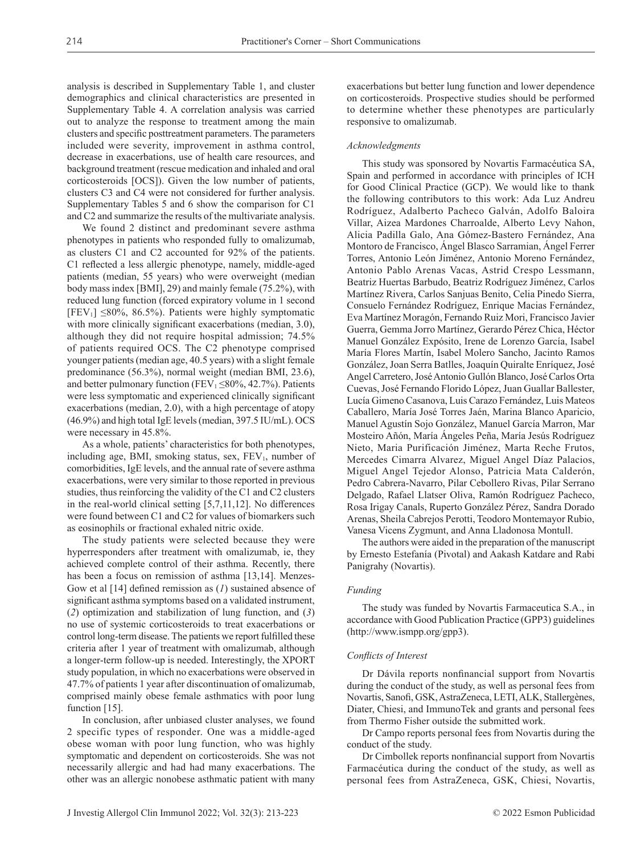analysis is described in Supplementary Table 1, and cluster demographics and clinical characteristics are presented in Supplementary Table 4. A correlation analysis was carried out to analyze the response to treatment among the main clusters and specific posttreatment parameters. The parameters included were severity, improvement in asthma control, decrease in exacerbations, use of health care resources, and background treatment (rescue medication and inhaled and oral corticosteroids [OCS]). Given the low number of patients, clusters C3 and C4 were not considered for further analysis. Supplementary Tables 5 and 6 show the comparison for C1 and C2 and summarize the results of the multivariate analysis.

We found 2 distinct and predominant severe asthma phenotypes in patients who responded fully to omalizumab, as clusters C1 and C2 accounted for 92% of the patients. C1 reflected a less allergic phenotype, namely, middle-aged patients (median, 55 years) who were overweight (median body mass index [BMI], 29) and mainly female (75.2%), with reduced lung function (forced expiratory volume in 1 second  $[FEV<sub>1</sub>] \leq 80\%, 86.5\%$ . Patients were highly symptomatic with more clinically significant exacerbations (median, 3.0), although they did not require hospital admission; 74.5% of patients required OCS. The C2 phenotype comprised younger patients (median age, 40.5 years) with a slight female predominance (56.3%), normal weight (median BMI, 23.6), and better pulmonary function (FEV<sub>1</sub>  $\leq$ 80%, 42.7%). Patients were less symptomatic and experienced clinically significant exacerbations (median, 2.0), with a high percentage of atopy (46.9%) and high total IgE levels (median, 397.5 IU/mL). OCS were necessary in 45.8%.

As a whole, patients' characteristics for both phenotypes, including age, BMI, smoking status, sex,  $FEV<sub>1</sub>$ , number of comorbidities, IgE levels, and the annual rate of severe asthma exacerbations, were very similar to those reported in previous studies, thus reinforcing the validity of the C1 and C2 clusters in the real-world clinical setting [5,7,11,12]. No differences were found between C1 and C2 for values of biomarkers such as eosinophils or fractional exhaled nitric oxide.

The study patients were selected because they were hyperresponders after treatment with omalizumab, ie, they achieved complete control of their asthma. Recently, there has been a focus on remission of asthma [13,14]. Menzes-Gow et al [14] defined remission as (*1*) sustained absence of significant asthma symptoms based on a validated instrument, (*2*) optimization and stabilization of lung function, and (*3*) no use of systemic corticosteroids to treat exacerbations or control long-term disease. The patients we report fulfilled these criteria after 1 year of treatment with omalizumab, although a longer-term follow-up is needed. Interestingly, the XPORT study population, in which no exacerbations were observed in 47.7% of patients 1 year after discontinuation of omalizumab, comprised mainly obese female asthmatics with poor lung function [15].

In conclusion, after unbiased cluster analyses, we found 2 specific types of responder. One was a middle-aged obese woman with poor lung function, who was highly symptomatic and dependent on corticosteroids. She was not necessarily allergic and had had many exacerbations. The other was an allergic nonobese asthmatic patient with many exacerbations but better lung function and lower dependence on corticosteroids. Prospective studies should be performed to determine whether these phenotypes are particularly responsive to omalizumab.

## *Acknowledgments*

This study was sponsored by Novartis Farmacéutica SA, Spain and performed in accordance with principles of ICH for Good Clinical Practice (GCP). We would like to thank the following contributors to this work: Ada Luz Andreu Rodríguez, Adalberto Pacheco Galván, Adolfo Baloira Villar, Aizea Mardones Charroalde, Alberto Levy Nahon, Alicia Padilla Galo, Ana Gómez-Bastero Fernández, Ana Montoro de Francisco, Ángel Blasco Sarramian, Ángel Ferrer Torres, Antonio León Jiménez, Antonio Moreno Fernández, Antonio Pablo Arenas Vacas, Astrid Crespo Lessmann, Beatriz Huertas Barbudo, Beatriz Rodríguez Jiménez, Carlos Martínez Rivera, Carlos Sanjuas Benito, Celia Pinedo Sierra, Consuelo Fernández Rodríguez, Enrique Macias Fernández, Eva Martínez Moragón, Fernando Ruiz Mori, Francisco Javier Guerra, Gemma Jorro Martínez, Gerardo Pérez Chica, Héctor Manuel González Expósito, Irene de Lorenzo García, Isabel María Flores Martín, Isabel Molero Sancho, Jacinto Ramos González, Joan Serra Batlles, Joaquín Quiralte Enríquez, José Angel Carretero, José Antonio Gullón Blanco, José Carlos Orta Cuevas, José Fernando Florido López, Juan Guallar Ballester, Lucía Gimeno Casanova, Luis Carazo Fernández, Luis Mateos Caballero, María José Torres Jaén, Marina Blanco Aparicio, Manuel Agustín Sojo González, Manuel García Marron, Mar Mosteiro Añón, María Ángeles Peña, María Jesús Rodríguez Nieto, Maria Purificación Jiménez, Marta Reche Frutos, Mercedes Cimarra Alvarez, Miguel Angel Díaz Palacios, Miguel Angel Tejedor Alonso, Patricia Mata Calderón, Pedro Cabrera-Navarro, Pilar Cebollero Rivas, Pilar Serrano Delgado, Rafael Llatser Oliva, Ramón Rodríguez Pacheco, Rosa Irigay Canals, Ruperto González Pérez, Sandra Dorado Arenas, Sheila Cabrejos Perotti, Teodoro Montemayor Rubio, Vanesa Vicens Zygmunt, and Anna Lladonosa Montull.

The authors were aided in the preparation of the manuscript by Ernesto Estefanía (Pivotal) and Aakash Katdare and Rabi Panigrahy (Novartis).

### *Funding*

The study was funded by Novartis Farmaceutica S.A., in accordance with Good Publication Practice (GPP3) guidelines (http://www.ismpp.org/gpp3).

#### *Conflicts of Interest*

Dr Dávila reports nonfinancial support from Novartis during the conduct of the study, as well as personal fees from Novartis, Sanofi, GSK, AstraZeneca, LETI, ALK, Stallergènes, Diater, Chiesi, and ImmunoTek and grants and personal fees from Thermo Fisher outside the submitted work.

Dr Campo reports personal fees from Novartis during the conduct of the study.

Dr Cimbollek reports nonfinancial support from Novartis Farmacéutica during the conduct of the study, as well as personal fees from AstraZeneca, GSK, Chiesi, Novartis,